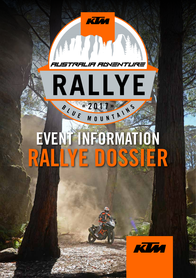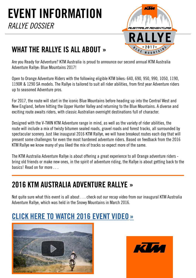

### WHAT THE RALLYE IS ALL ABOUT »

Are you Ready for Adventure? KTM Australia is proud to announce our second annual KTM Australia Adventure Rallye: Blue Mountains 2017!

Open to Orange Adventure Riders with the following eligible KTM bikes: 640, 690, 950, 990, 1050, 1190, 1190R & 1290 SA models. The Rallye is tailored to suit all rider abilities, from first year Adventure riders up to seasoned Adventure pros.

For 2017, the route will start in the iconic Blue Mountains before heading up into the Central West and New England, before hitting the Upper Hunter Valley and returning to the Blue Mountains. A diverse and exciting route awaits riders, with classic Australian overnight destinations full of character.

Designed with the V-TWIN KTM Adventure range in mind, as well as the variety of rider abilities, the route will include a mix of twisty bitumen sealed roads, gravel roads and forest tracks, all surrounded by spectacular scenery. Just like inaugural 2016 KTM Rallye, we will have breakout routes each day that will present some challenges for even the most hardened adventure riders. Based on feedback from the 2016 KTM Rallye we know many of you liked the mix of tracks so expect more of the same.

The KTM Australia Adventure Rallye is about offering a great experience to all Orange adventure riders bring old friends or make new ones, in the spirit of adventure riding, the Rallye is about getting back to the basics! Read on for more . . .

#### 2016 KTM AUSTRALIA ADVENTURE RALLYE »

Not quite sure what this event is all about . . . check out our recap video from our inaugural KTM Australia Adventure Rallye, which was held in the Snowy Mountains in March 2016.

### **[CLICK HERE TO WATCH 2016 EVENT VIDEO](https://youtu.be/BqhrILMTEuI)**



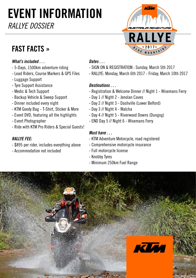# FAST FACTS »



#### *What's included . . .*

- 5-Days, 1500km adventure riding
- Lead Riders, Course Markers & GPS Files
- Luggage Support
- Tyre Support Assistance
- Medic & Tech Support
- Backup Vehicle & Sweep Support
- Dinner included every night
- KTM Goody Bag T-Shirt, Sticker & More
- Event DVD, featuring all the highlights
- Event Photographer
- Ride with KTM Pro Riders & Special Guests!

#### *RALLYE FEE:*

- \$895 per rider, includes everything above
- Accommodation not included

#### *Dates . . .*

- SIGN ON & REGISTRATION : Sunday, March 5th 2017
- RALLYE: Monday, March 6th 2017 Friday, March 10th 2017

#### *Destinations . . .*

- Registration & Welcome Dinner // Night 1 Wisemans Ferry
- Day 1 // Night 2 Jenolan Caves
- Day 2 // Night 3 Dashville (Lower Belford)
- Day 3 // Night 4 Walcha
- Day 4 // Night 5 Riverwood Downs (Dungog)
- END Day 5 // Night 6 Wisemans Ferry

#### *Must have . . .*

- KTM Adventure Motorcycle, road registered
- Comprehensive motorcycle insurance
- Full motorcycle license
- Knobby Tyres
- Minimum 250km Fuel Range

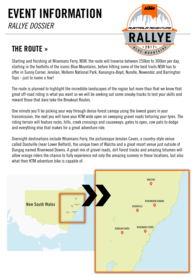

### THE ROUTE »

Starting and finishing at Wisemans Ferry, NSW, the route will traverse between 250km to 300km per day, starting in the foothills of the iconic Blue Mountains, before hitting some of the best trails NSW has to offer in Sunny Corner, Jenolan, Wollemi National Park, Kanangra-Boyd, Nundle, Nowendoc and Barrington Tops - just to name a few!

The route is planned to highlight the incredible landscapes of the region but more than that we know that great off-road riding is what you want so we will be seeking out some sneaky tracks to test your skills and reward those that dare take the Breakout Routes.

One minute you'll be picking your way through dense forest canopy using the lowest gears in your transmission, the next you will have your KTM wide open on sweeping gravel roads torturing your tyres. The riding terrain will feature rocks, hills, creek crossings and causeways, gates to open, cow pats to dodge and everything else that makes for a great adventure ride.

Overnight destinations include Wisemans Ferry, the picturesque Jenolan Caves, a country-style venue called Dashville (near Lower Belford), the unique town of Walcha and a great resort venue just outside of Dungog named Riverwood Downs. A great mix of gravel roads, dirt forest tracks and amazing bitumen will allow orange riders the chance to fully experience not only the amazing scenery in these locations, but also what their KTM adventure bike is capable of.

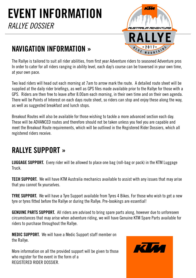

#### NAVIGATION INFORMATION »

The Rallye is tailored to suit all rider abilities, from first year Adventure riders to seasoned Adventure pros In order to cater for all riders ranging in ability level, each day's course can be traversed in your own time, at your own pace.

Two lead riders will head out each morning at 7am to arrow mark the route. A detailed route sheet will be supplied at the daily rider briefings, as well as GPS files made available prior to the Rallye for those with a GPS. Riders are then free to leave after 8.00am each morning, in their own time and on their own agenda. There will be Points of Interest on each days route sheet, so riders can stop and enjoy these along the way, as well as suggested breakfast and lunch stops.

Breakout Routes will also be available for those wishing to tackle a more advanced section each day. These will be ADVANCED routes and therefore should not be taken unless you feel you are capable and meet the Breakout Route requirements, which will be outlined in the Registered Rider Dossiers, which all registered riders receive.

### RALLYE SUPPORT »

LUGGAGE SUPPORT. Every rider will be allowed to place one bag (roll-bag or pack) in the KTM Luggage Truck.

**TECH SUPPORT.** We will have KTM Australia mechanics available to assist with any issues that may arise that you cannot fix yourselves.

TYRE SUPPORT. We will have a Tyre Support available from Tyres 4 Bikes. For those who wish to get a new tyre or tyres fitted before the Rallye or during the Rallye. Pre-bookings are essential!

GENUINE PARTS SUPPORT. All riders are advised to bring spare parts along, however due to unforeseen circumstances that may arise when adventure riding, we will have Genuine KTM Spare Parts available for riders to purchase throughout the Rallye.

MEDIC SUPPORT. We will have a Medic Support staff member on the Rallye.

More information on all the provided support will be given to those who register for the event in the form of a REGISTERED RIDER DOSSIER.

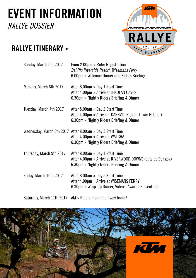

### RALLYE ITINERARY »

| Sunday, March 5th 2017   | From 2.00pm » Rider Registration<br>Del Rio Riverside Resort, Wisemans Ferry<br>6.00pm » Welcome Dinner and Riders Briefing               |
|--------------------------|-------------------------------------------------------------------------------------------------------------------------------------------|
| Monday, March 6th 2017   | After 8.00am » Day 1 Start Time<br>After 4.00pm » Arrive at JENOLAN CAVES<br>6.30pm » Nightly Riders Briefing & Dinner                    |
| Tuesday, March 7th 2017  | After 8.00am » Day 2 Start Time<br>After 4.00pm » Arrive at DASHVILLE (near Lower Belford)<br>6.30pm » Nightly Riders Briefing & Dinner   |
|                          | Wednesday, March 8th 2017 After 8.00am » Day 3 Start Time<br>After 4.00pm » Arrive at WALCHA<br>6.30pm » Nightly Riders Briefing & Dinner |
| Thursday, March 9th 2017 | After 8.00am » Day 4 Start Time<br>After 4.00pm » Arrive at RIVERWOOD DOWNS (outside Dungog)<br>6.30pm » Nightly Riders Briefing & Dinner |
| Friday, March 10th 2017  | After 8.00am » Day 5 Start Time<br>After 4.00pm » Arrive at WISEMANS FERRY<br>6.30pm » Wrap-Up Dinner, Videos, Awards Presentation        |
|                          |                                                                                                                                           |

Saturday, March 11th 2017 AM » Riders make their way home!

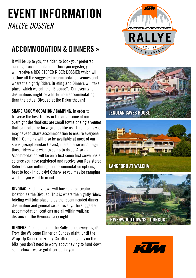

### ACCOMMODATION & DINNERS »

It will be up to you, the rider, to book your preferred overnight accommodation. Once you register, you will receive a REGISTERED RIDER DOSSIER which will outline all the suggested accommodation venues and where the nightly Riders Briefing and Dinners will take place, which we call the "Bivouac". Our overnight destinations might be a little more accommodating than the actual Bivouac at the Dakar though!

SHARE ACCOMMODATION / CAMPING. In order to traverse the best tracks in the area, some of our overnight destinations are small towns or single venues that can cater for large groups like us. This means you may have to share accommodation to ensure everyone fits!! Camping will also be available at most of our stops (except Jenolan Caves), therefore we encourage those riders who wish to camp to do so. Also - - Accommodation will be on a first come first serve basis, so once you have registered and receive your Registered Rider Dossier outlining the accommodation options, best to book in quickly! Otherwise you may be camping whether you want to or not.

BIVOUAC. Each night we will have one particular location as the Bivouac. This is where the nightly riders briefing will take place, plus the recommended dinner destination and general social revelry. The suggested accommodation locations are all within walking distance of the Bivouac every night.

DINNERS. Are included in the Rallye price every night! From the Welcome Dinner on Sunday night, until the Wrap-Up Dinner on Friday. So after a long day on the bike, you don't need to worry about having to hunt down some chow - we've got it sorted for you.







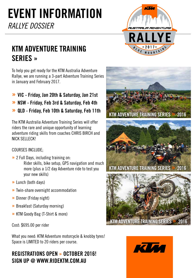

### KTM ADVENTURE TRAINING SERIES »

To help you get ready for the KTM Australia Adventure Rallye, we are running a 3-part Adventure Training Series in January and February 2017.

- » VIC Friday, Jan 20th & Saturday, Jan 21st
- » NSW Friday, Feb 3rd & Saturday, Feb 4th
- » QLD Friday, Feb 10th & Saturday, Feb 11th

The KTM Australia Adventure Training Series will offer riders the rare and unique opportunity of learning adventure riding skills from coaches CHRIS BIRCH and NICK SELLECK!

#### COURSES INCLUDE;

- » 2 Full Days, including training on: Rider skills, bike setup, GPS navigation and much more (plus a 1/2 day Adventure ride to test you your new skills)
- » Lunch (both days)
- » Twin-share overnight accommodation
- » Dinner (Friday night)
- » Breakfast (Saturday morning)
- » KTM Goody Bag (T-Shirt & more)

Cost: \$695.00 per rider

What you need: KTM Adventure motorcycle & knobby tyres! Space is LIMITED to 20 riders per course.

#### REGISTRATIONS OPEN » OCTOBER 2016! SIGN UP @ WWW.RIDEKTM.COM.AU